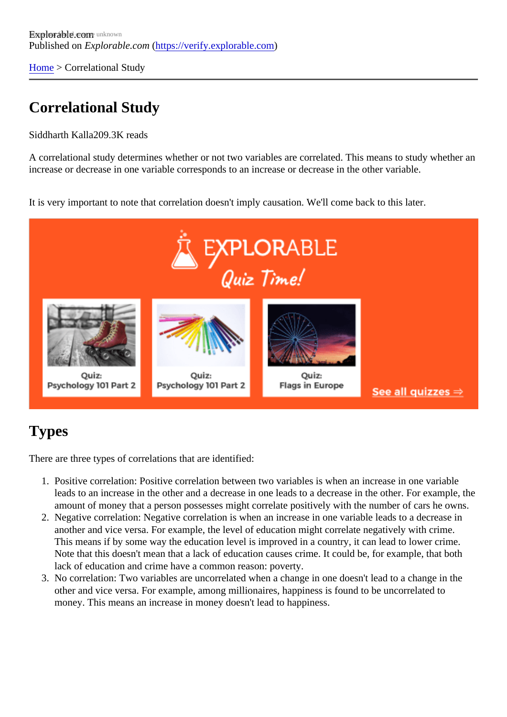[Home](https://verify.explorable.com/)> Correlational Study

## Correlational Study

Siddharth Kall 209.3K reads

A correlational study determines whether or not two variables are correlated. This means to study whether increase or decrease in one variable corresponds to an increase or decrease in the other variable.

It is very important to note that correlation doesn't imply causation. We'll come back to this later.

## Types

There are three types of correlations that are identified:

- 1. Positive correlation: Positive correlation between two variables is when an increase in one variable leads to an increase in the other and a decrease in one leads to a decrease in the other. For exampl amount of money that a person possesses might correlate positively with the number of cars he own
- 2. Negative correlation: Negative correlation is when an increase in one variable leads to a decrease in another and vice versa. For example, the level of education might correlate negatively with crime. This means if by some way the education level is improved in a country, it can lead to lower crime. Note that this doesn't mean that a lack of education causes crime. It could be, for example, that both lack of education and crime have a common reason: poverty.
- 3. No correlation: Two variables are uncorrelated when a change in one doesn't lead to a change in the other and vice versa. For example, among millionaires, happiness is found to be uncorrelated to money. This means an increase in money doesn't lead to happiness.